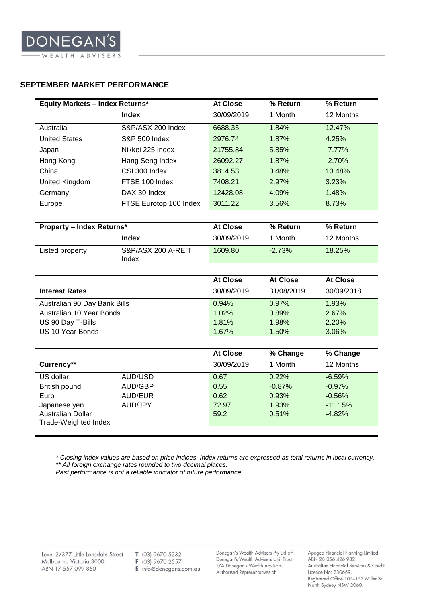## **SEPTEMBER MARKET PERFORMANCE**

| Australia<br><b>United States</b><br>Japan<br>Hong Kong<br>China<br>United Kingdom<br>Germany<br>Europe                                                                                   | <b>Index</b><br>S&P/ASX 200 Index<br><b>S&amp;P 500 Index</b><br>Nikkei 225 Index<br>Hang Seng Index<br>CSI 300 Index<br>FTSE 100 Index<br>DAX 30 Index<br>FTSE Eurotop 100 Index | 30/09/2019<br>6688.35<br>2976.74<br>21755.84<br>26092.27<br>3814.53<br>7408.21<br>12428.08<br>3011.22 | 1 Month<br>1.84%<br>1.87%<br>5.85%<br>1.87%<br>0.48%<br>2.97%<br>4.09%<br>3.56% | 12 Months<br>12.47%<br>4.25%<br>$-7.77%$<br>$-2.70%$<br>13.48%<br>3.23%<br>1.48%<br>8.73% |
|-------------------------------------------------------------------------------------------------------------------------------------------------------------------------------------------|-----------------------------------------------------------------------------------------------------------------------------------------------------------------------------------|-------------------------------------------------------------------------------------------------------|---------------------------------------------------------------------------------|-------------------------------------------------------------------------------------------|
|                                                                                                                                                                                           |                                                                                                                                                                                   |                                                                                                       |                                                                                 |                                                                                           |
|                                                                                                                                                                                           |                                                                                                                                                                                   |                                                                                                       |                                                                                 |                                                                                           |
|                                                                                                                                                                                           |                                                                                                                                                                                   |                                                                                                       |                                                                                 |                                                                                           |
|                                                                                                                                                                                           |                                                                                                                                                                                   |                                                                                                       |                                                                                 |                                                                                           |
|                                                                                                                                                                                           |                                                                                                                                                                                   |                                                                                                       |                                                                                 |                                                                                           |
|                                                                                                                                                                                           |                                                                                                                                                                                   |                                                                                                       |                                                                                 |                                                                                           |
|                                                                                                                                                                                           |                                                                                                                                                                                   |                                                                                                       |                                                                                 |                                                                                           |
|                                                                                                                                                                                           |                                                                                                                                                                                   |                                                                                                       |                                                                                 |                                                                                           |
|                                                                                                                                                                                           |                                                                                                                                                                                   |                                                                                                       |                                                                                 |                                                                                           |
|                                                                                                                                                                                           |                                                                                                                                                                                   |                                                                                                       |                                                                                 |                                                                                           |
| <b>Property - Index Returns*</b>                                                                                                                                                          |                                                                                                                                                                                   | <b>At Close</b>                                                                                       | % Return                                                                        | % Return                                                                                  |
|                                                                                                                                                                                           | <b>Index</b>                                                                                                                                                                      | 30/09/2019                                                                                            | 1 Month                                                                         | 12 Months                                                                                 |
| Listed property<br>S&P/ASX 200 A-REIT<br>Index                                                                                                                                            |                                                                                                                                                                                   | 1609.80                                                                                               | $-2.73%$                                                                        | 18.25%                                                                                    |
|                                                                                                                                                                                           |                                                                                                                                                                                   |                                                                                                       |                                                                                 |                                                                                           |
|                                                                                                                                                                                           |                                                                                                                                                                                   | <b>At Close</b>                                                                                       | <b>At Close</b>                                                                 | <b>At Close</b>                                                                           |
| <b>Interest Rates</b>                                                                                                                                                                     |                                                                                                                                                                                   | 30/09/2019                                                                                            | 31/08/2019                                                                      | 30/09/2018                                                                                |
|                                                                                                                                                                                           |                                                                                                                                                                                   | 0.94%                                                                                                 | 0.97%                                                                           | 1.93%                                                                                     |
|                                                                                                                                                                                           |                                                                                                                                                                                   |                                                                                                       |                                                                                 |                                                                                           |
|                                                                                                                                                                                           |                                                                                                                                                                                   |                                                                                                       |                                                                                 |                                                                                           |
|                                                                                                                                                                                           |                                                                                                                                                                                   |                                                                                                       |                                                                                 |                                                                                           |
|                                                                                                                                                                                           |                                                                                                                                                                                   |                                                                                                       |                                                                                 |                                                                                           |
| Currency**                                                                                                                                                                                |                                                                                                                                                                                   | 30/09/2019                                                                                            | 1 Month                                                                         | 12 Months                                                                                 |
| US dollar                                                                                                                                                                                 | AUD/USD                                                                                                                                                                           | 0.67                                                                                                  | 0.22%                                                                           | $-6.59%$                                                                                  |
| British pound                                                                                                                                                                             | <b>AUD/GBP</b>                                                                                                                                                                    | 0.55                                                                                                  | $-0.87%$                                                                        | $-0.97%$                                                                                  |
|                                                                                                                                                                                           |                                                                                                                                                                                   |                                                                                                       |                                                                                 |                                                                                           |
|                                                                                                                                                                                           |                                                                                                                                                                                   |                                                                                                       |                                                                                 |                                                                                           |
| Trade-Weighted Index                                                                                                                                                                      |                                                                                                                                                                                   |                                                                                                       |                                                                                 |                                                                                           |
| Australian 90 Day Bank Bills<br>Australian 10 Year Bonds<br>US 90 Day T-Bills<br>US 10 Year Bonds<br><b>AUD/EUR</b><br>Euro<br>Japanese yen<br><b>AUD/JPY</b><br><b>Australian Dollar</b> |                                                                                                                                                                                   | 1.02%<br>1.81%<br>1.67%<br><b>At Close</b><br>0.62<br>72.97<br>59.2                                   | 0.89%<br>1.98%<br>1.50%<br>% Change<br>0.93%<br>1.93%<br>0.51%                  | 2.67%<br>2.20%<br>3.06%<br>% Change<br>$-0.56%$<br>$-11.15%$<br>$-4.82%$                  |

*\* Closing index values are based on price indices. Index returns are expressed as total returns in local currency. \*\* All foreign exchange rates rounded to two decimal places.*

*Past performance is not a reliable indicator of future performance.*

 $T$  (03) 9670 5232 F (03) 9670 2557 E info@donegans.com.au Donegan's Wealth Advisers Pty Ltd atf<br>Donegan's Wealth Advisers Unit Trust T/A Donegan's Wealth Advisors. Authorised Representatives of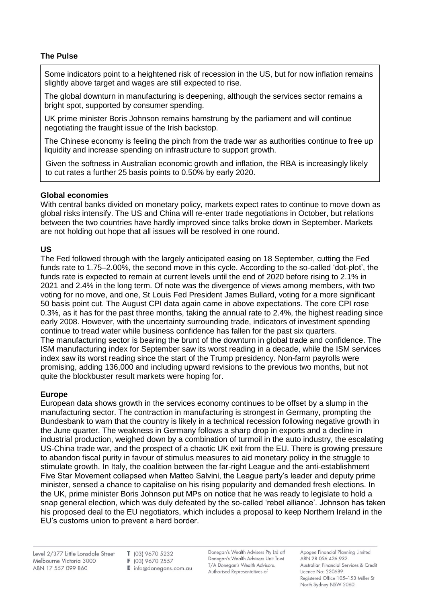## **The Pulse**

Some indicators point to a heightened risk of recession in the US, but for now inflation remains slightly above target and wages are still expected to rise.

The global downturn in manufacturing is deepening, although the services sector remains a bright spot, supported by consumer spending.

UK prime minister Boris Johnson remains hamstrung by the parliament and will continue negotiating the fraught issue of the Irish backstop.

The Chinese economy is feeling the pinch from the trade war as authorities continue to free up liquidity and increase spending on infrastructure to support growth.

Given the softness in Australian economic growth and inflation, the RBA is increasingly likely to cut rates a further 25 basis points to 0.50% by early 2020.

## **Global economies**

With central banks divided on monetary policy, markets expect rates to continue to move down as global risks intensify. The US and China will re-enter trade negotiations in October, but relations between the two countries have hardly improved since talks broke down in September. Markets are not holding out hope that all issues will be resolved in one round.

## **US**

The Fed followed through with the largely anticipated easing on 18 September, cutting the Fed funds rate to 1.75–2.00%, the second move in this cycle. According to the so-called 'dot-plot', the funds rate is expected to remain at current levels until the end of 2020 before rising to 2.1% in 2021 and 2.4% in the long term. Of note was the divergence of views among members, with two voting for no move, and one, St Louis Fed President James Bullard, voting for a more significant 50 basis point cut. The August CPI data again came in above expectations. The core CPI rose 0.3%, as it has for the past three months, taking the annual rate to 2.4%, the highest reading since early 2008. However, with the uncertainty surrounding trade, indicators of investment spending continue to tread water while business confidence has fallen for the past six quarters. The manufacturing sector is bearing the brunt of the downturn in global trade and confidence. The ISM manufacturing index for September saw its worst reading in a decade, while the ISM services index saw its worst reading since the start of the Trump presidency. Non-farm payrolls were promising, adding 136,000 and including upward revisions to the previous two months, but not quite the blockbuster result markets were hoping for.

### **Europe**

European data shows growth in the services economy continues to be offset by a slump in the manufacturing sector. The contraction in manufacturing is strongest in Germany, prompting the Bundesbank to warn that the country is likely in a technical recession following negative growth in the June quarter. The weakness in Germany follows a sharp drop in exports and a decline in industrial production, weighed down by a combination of turmoil in the auto industry, the escalating US-China trade war, and the prospect of a chaotic UK exit from the EU. There is growing pressure to abandon fiscal purity in favour of stimulus measures to aid monetary policy in the struggle to stimulate growth. In Italy, the coalition between the far-right League and the anti-establishment Five Star Movement collapsed when Matteo Salvini, the League party's leader and deputy prime minister, sensed a chance to capitalise on his rising popularity and demanded fresh elections. In the UK, prime minister Boris Johnson put MPs on notice that he was ready to legislate to hold a snap general election, which was duly defeated by the so-called 'rebel alliance'. Johnson has taken his proposed deal to the EU negotiators, which includes a proposal to keep Northern Ireland in the EU's customs union to prevent a hard border.

Level 2/377 Little Lonsdale Street Melbourne Victoria 3000 ABN 17 557 099 860

T (03) 9670 5232 F (03) 9670 2557  $E$  info@donegans.com.au Donegan's Wealth Advisers Pty Ltd atf Donegan's Wealth Advisers Unit Trust T/A Donegan's Wealth Advisors. Authorised Representatives of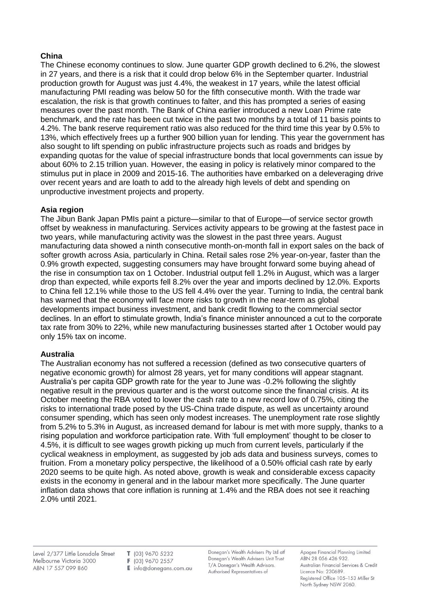# **China**

The Chinese economy continues to slow. June quarter GDP growth declined to 6.2%, the slowest in 27 years, and there is a risk that it could drop below 6% in the September quarter. Industrial production growth for August was just 4.4%, the weakest in 17 years, while the latest official manufacturing PMI reading was below 50 for the fifth consecutive month. With the trade war escalation, the risk is that growth continues to falter, and this has prompted a series of easing measures over the past month. The Bank of China earlier introduced a new Loan Prime rate benchmark, and the rate has been cut twice in the past two months by a total of 11 basis points to 4.2%. The bank reserve requirement ratio was also reduced for the third time this year by 0.5% to 13%, which effectively frees up a further 900 billion yuan for lending. This year the government has also sought to lift spending on public infrastructure projects such as roads and bridges by expanding quotas for the value of special infrastructure bonds that local governments can issue by about 60% to 2.15 trillion yuan. However, the easing in policy is relatively minor compared to the stimulus put in place in 2009 and 2015-16. The authorities have embarked on a deleveraging drive over recent years and are loath to add to the already high levels of debt and spending on unproductive investment projects and property.

## **Asia region**

The Jibun Bank Japan PMIs paint a picture—similar to that of Europe—of service sector growth offset by weakness in manufacturing. Services activity appears to be growing at the fastest pace in two years, while manufacturing activity was the slowest in the past three years. August manufacturing data showed a ninth consecutive month-on-month fall in export sales on the back of softer growth across Asia, particularly in China. Retail sales rose 2% year-on-year, faster than the 0.9% growth expected, suggesting consumers may have brought forward some buying ahead of the rise in consumption tax on 1 October. Industrial output fell 1.2% in August, which was a larger drop than expected, while exports fell 8.2% over the year and imports declined by 12.0%. Exports to China fell 12.1% while those to the US fell 4.4% over the year. Turning to India, the central bank has warned that the economy will face more risks to growth in the near-term as global developments impact business investment, and bank credit flowing to the commercial sector declines. In an effort to stimulate growth, India's finance minister announced a cut to the corporate tax rate from 30% to 22%, while new manufacturing businesses started after 1 October would pay only 15% tax on income.

## **Australia**

The Australian economy has not suffered a recession (defined as two consecutive quarters of negative economic growth) for almost 28 years, yet for many conditions will appear stagnant. Australia's per capita GDP growth rate for the year to June was -0.2% following the slightly negative result in the previous quarter and is the worst outcome since the financial crisis. At its October meeting the RBA voted to lower the cash rate to a new record low of 0.75%, citing the risks to international trade posed by the US-China trade dispute, as well as uncertainty around consumer spending, which has seen only modest increases. The unemployment rate rose slightly from 5.2% to 5.3% in August, as increased demand for labour is met with more supply, thanks to a rising population and workforce participation rate. With 'full employment' thought to be closer to 4.5%, it is difficult to see wages growth picking up much from current levels, particularly if the cyclical weakness in employment, as suggested by job ads data and business surveys, comes to fruition. From a monetary policy perspective, the likelihood of a 0.50% official cash rate by early 2020 seems to be quite high. As noted above, growth is weak and considerable excess capacity exists in the economy in general and in the labour market more specifically. The June quarter inflation data shows that core inflation is running at 1.4% and the RBA does not see it reaching 2.0% until 2021.

Level 2/377 Little Lonsdale Street Melbourne Victoria 3000 ABN 17 557 099 860

T (03) 9670 5232 F (03) 9670 2557 E info@donegans.com.au Donegan's Wealth Advisers Pty Ltd atf Donegan's Wealth Advisers Unit Trust T/A Donegan's Wealth Advisors. Authorised Representatives of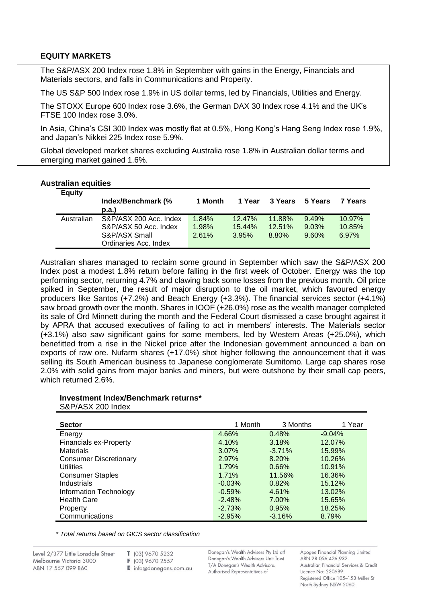## **EQUITY MARKETS**

The S&P/ASX 200 Index rose 1.8% in September with gains in the Energy, Financials and Materials sectors, and falls in Communications and Property.

The US S&P 500 Index rose 1.9% in US dollar terms, led by Financials, Utilities and Energy.

The STOXX Europe 600 Index rose 3.6%, the German DAX 30 Index rose 4.1% and the UK's FTSE 100 Index rose 3.0%.

In Asia, China's CSI 300 Index was mostly flat at 0.5%, Hong Kong's Hang Seng Index rose 1.9%, and Japan's Nikkei 225 Index rose 5.9%.

Global developed market shares excluding Australia rose 1.8% in Australian dollar terms and emerging market gained 1.6%.

#### **Australian equities**

| <b>Equity</b> | Index/Benchmark (%<br>p.a. | 1 Month | 1 Year | 3 Years | 5 Years | 7 Years   |
|---------------|----------------------------|---------|--------|---------|---------|-----------|
| Australian    | S&P/ASX 200 Acc. Index     | 1.84%   | 12.47% | 11.88%  | 9.49%   | $10.97\%$ |
|               | S&P/ASX 50 Acc. Index      | 1.98%   | 15.44% | 12.51%  | 9.03%   | 10.85%    |
|               | S&P/ASX Small              | 2.61%   | 3.95%  | 8.80%   | 9.60%   | 6.97%     |
|               | Ordinaries Acc. Index      |         |        |         |         |           |

Australian shares managed to reclaim some ground in September which saw the S&P/ASX 200 Index post a modest 1.8% return before falling in the first week of October. Energy was the top performing sector, returning 4.7% and clawing back some losses from the previous month. Oil price spiked in September, the result of major disruption to the oil market, which favoured energy producers like Santos (+7.2%) and Beach Energy (+3.3%). The financial services sector (+4.1%) saw broad growth over the month. Shares in IOOF (+26.0%) rose as the wealth manager completed its sale of Ord Minnett during the month and the Federal Court dismissed a case brought against it by APRA that accused executives of failing to act in members' interests. The Materials sector (+3.1%) also saw significant gains for some members, led by Western Areas (+25.0%), which benefitted from a rise in the Nickel price after the Indonesian government announced a ban on exports of raw ore. Nufarm shares (+17.0%) shot higher following the announcement that it was selling its South American business to Japanese conglomerate Sumitomo. Large cap shares rose 2.0% with solid gains from major banks and miners, but were outshone by their small cap peers, which returned 2.6%.

#### **Investment Index/Benchmark returns\*** S&P/ASX 200 Index

| <b>Sector</b>                 | 1 Month  | 3 Months | 1 Year   |
|-------------------------------|----------|----------|----------|
| Energy                        | 4.66%    | 0.48%    | $-9.04%$ |
| <b>Financials ex-Property</b> | 4.10%    | 3.18%    | 12.07%   |
| <b>Materials</b>              | $3.07\%$ | $-3.71%$ | 15.99%   |
| <b>Consumer Discretionary</b> | 2.97%    | 8.20%    | 10.26%   |
| <b>Utilities</b>              | 1.79%    | 0.66%    | 10.91%   |
| <b>Consumer Staples</b>       | 1.71%    | 11.56%   | 16.36%   |
| Industrials                   | $-0.03%$ | 0.82%    | 15.12%   |
| Information Technology        | $-0.59%$ | 4.61%    | 13.02%   |
| <b>Health Care</b>            | $-2.48%$ | 7.00%    | 15.65%   |
| Property                      | $-2.73%$ | 0.95%    | 18.25%   |
| Communications                | $-2.95%$ | $-3.16%$ | 8.79%    |

*\* Total returns based on GICS sector classification*

- T (03) 9670 5232
- F (03) 9670 2557
- E info@donegans.com.au

Donegan's Wealth Advisers Pty Ltd atf Donegan's Wealth Advisers Unit Trust T/A Donegan's Wealth Advisors. Authorised Representatives of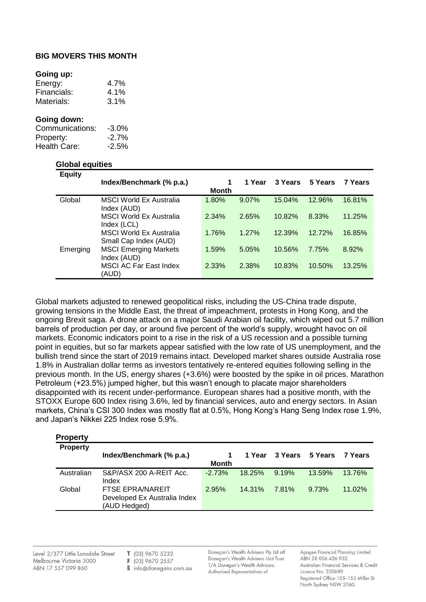## **BIG MOVERS THIS MONTH**

#### **Going up:**

| Energy:     | $4.7\%$ |
|-------------|---------|
| Financials: | $4.1\%$ |
| Materials:  | $3.1\%$ |

#### **Going down:**

| Communications: | $-3.0\%$ |
|-----------------|----------|
| Property:       | $-2.7\%$ |
| Health Care:    | $-2.5%$  |

#### **Global equities**

| <b>Equity</b> |                                |       |          |         |         |         |
|---------------|--------------------------------|-------|----------|---------|---------|---------|
|               | Index/Benchmark (% p.a.)       | 1     | 1 Year   | 3 Years | 5 Years | 7 Years |
|               |                                | Month |          |         |         |         |
| Global        | <b>MSCI World Ex Australia</b> | 1.80% | $9.07\%$ | 15.04%  | 12.96%  | 16.81%  |
|               | Index (AUD)                    |       |          |         |         |         |
|               | MSCI World Ex Australia        | 2.34% | 2.65%    | 10.82%  | 8.33%   | 11.25%  |
|               | Index (LCL)                    |       |          |         |         |         |
|               | <b>MSCI World Ex Australia</b> | 1.76% | 1.27%    | 12.39%  | 12.72%  | 16.85%  |
|               | Small Cap Index (AUD)          |       |          |         |         |         |
| Emerging      | <b>MSCI Emerging Markets</b>   | 1.59% | 5.05%    | 10.56%  | 7.75%   | 8.92%   |
|               | Index (AUD)                    |       |          |         |         |         |
|               | <b>MSCI AC Far East Index</b>  | 2.33% | 2.38%    | 10.83%  | 10.50%  | 13.25%  |
|               | (AUD)                          |       |          |         |         |         |

Global markets adjusted to renewed geopolitical risks, including the US-China trade dispute, growing tensions in the Middle East, the threat of impeachment, protests in Hong Kong, and the ongoing Brexit saga. A drone attack on a major Saudi Arabian oil facility, which wiped out 5.7 million barrels of production per day, or around five percent of the world's supply, wrought havoc on oil markets. Economic indicators point to a rise in the risk of a US recession and a possible turning point in equities, but so far markets appear satisfied with the low rate of US unemployment, and the bullish trend since the start of 2019 remains intact. Developed market shares outside Australia rose 1.8% in Australian dollar terms as investors tentatively re-entered equities following selling in the previous month. In the US, energy shares (+3.6%) were boosted by the spike in oil prices. Marathon Petroleum (+23.5%) jumped higher, but this wasn't enough to placate major shareholders disappointed with its recent under-performance. European shares had a positive month, with the STOXX Europe 600 Index rising 3.6%, led by financial services, auto and energy sectors. In Asian markets, China's CSI 300 Index was mostly flat at 0.5%, Hong Kong's Hang Seng Index rose 1.9%, and Japan's Nikkei 225 Index rose 5.9%.

| <b>Property</b> |                              |          |           |          |         |           |
|-----------------|------------------------------|----------|-----------|----------|---------|-----------|
| <b>Property</b> |                              |          |           |          |         |           |
|                 | Index/Benchmark (% p.a.)     |          | 1 Year    | 3 Years  | 5 Years | 7 Years   |
|                 |                              | Month    |           |          |         |           |
| Australian      | S&P/ASX 200 A-REIT Acc.      | $-2.73%$ | 18.25%    | $9.19\%$ | 13.59%  | 13.76%    |
|                 | Index                        |          |           |          |         |           |
| Global          | FTSE EPRA/NAREIT             | 2.95%    | $14.31\%$ | 7.81%    | 9.73%   | $11.02\%$ |
|                 | Developed Ex Australia Index |          |           |          |         |           |
|                 | (AUD Hedged)                 |          |           |          |         |           |
|                 |                              |          |           |          |         |           |

Level 2/377 Little Lonsdale Street Melbourne Victoria 3000 ABN 17 557 099 860

T (03) 9670 5232

F (03) 9670 2557

E info@donegans.com.au

Donegan's Wealth Advisers Pty Ltd atf Donegan's Wealth Advisers Unit Trust T/A Donegan's Wealth Advisors. Authorised Representatives of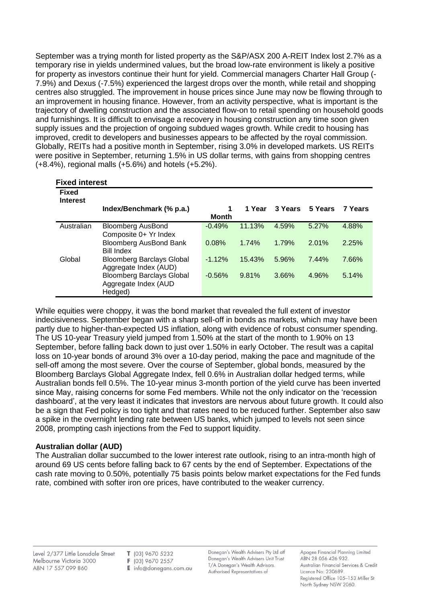September was a trying month for listed property as the S&P/ASX 200 A-REIT Index lost 2.7% as a temporary rise in yields undermined values, but the broad low-rate environment is likely a positive for property as investors continue their hunt for yield. Commercial managers Charter Hall Group (- 7.9%) and Dexus (-7.5%) experienced the largest drops over the month, while retail and shopping centres also struggled. The improvement in house prices since June may now be flowing through to an improvement in housing finance. However, from an activity perspective, what is important is the trajectory of dwelling construction and the associated flow-on to retail spending on household goods and furnishings. It is difficult to envisage a recovery in housing construction any time soon given supply issues and the projection of ongoing subdued wages growth. While credit to housing has improved, credit to developers and businesses appears to be affected by the royal commission. Globally, REITs had a positive month in September, rising 3.0% in developed markets. US REITs were positive in September, returning 1.5% in US dollar terms, with gains from shopping centres (+8.4%), regional malls (+5.6%) and hotels (+5.2%).

| <b>Fixed interest</b>           |                                  |          |        |         |         |                |
|---------------------------------|----------------------------------|----------|--------|---------|---------|----------------|
| <b>Fixed</b><br><b>Interest</b> |                                  |          |        |         |         |                |
|                                 | Index/Benchmark (% p.a.)         | 1        | 1 Year | 3 Years | 5 Years | <b>7 Years</b> |
|                                 |                                  | Month    |        |         |         |                |
| Australian                      | <b>Bloomberg AusBond</b>         | $-0.49%$ | 11.13% | 4.59%   | 5.27%   | 4.88%          |
|                                 | Composite 0+ Yr Index            |          |        |         |         |                |
|                                 | <b>Bloomberg AusBond Bank</b>    | 0.08%    | 1.74%  | 1.79%   | 2.01%   | 2.25%          |
|                                 | <b>Bill Index</b>                |          |        |         |         |                |
| Global                          | <b>Bloomberg Barclays Global</b> | $-1.12%$ | 15.43% | 5.96%   | 7.44%   | 7.66%          |
|                                 | Aggregate Index (AUD)            |          |        |         |         |                |
|                                 | <b>Bloomberg Barclays Global</b> | $-0.56%$ | 9.81%  | 3.66%   | 4.96%   | 5.14%          |
|                                 | Aggregate Index (AUD             |          |        |         |         |                |
|                                 | Hedged)                          |          |        |         |         |                |

While equities were choppy, it was the bond market that revealed the full extent of investor indecisiveness. September began with a sharp sell-off in bonds as markets, which may have been partly due to higher-than-expected US inflation, along with evidence of robust consumer spending. The US 10-year Treasury yield jumped from 1.50% at the start of the month to 1.90% on 13 September, before falling back down to just over 1.50% in early October. The result was a capital loss on 10-year bonds of around 3% over a 10-day period, making the pace and magnitude of the sell-off among the most severe. Over the course of September, global bonds, measured by the Bloomberg Barclays Global Aggregate Index, fell 0.6% in Australian dollar hedged terms, while Australian bonds fell 0.5%. The 10-year minus 3-month portion of the yield curve has been inverted since May, raising concerns for some Fed members. While not the only indicator on the 'recession dashboard', at the very least it indicates that investors are nervous about future growth. It could also be a sign that Fed policy is too tight and that rates need to be reduced further. September also saw a spike in the overnight lending rate between US banks, which jumped to levels not seen since 2008, prompting cash injections from the Fed to support liquidity.

### **Australian dollar (AUD)**

The Australian dollar succumbed to the lower interest rate outlook, rising to an intra-month high of around 69 US cents before falling back to 67 cents by the end of September. Expectations of the cash rate moving to 0.50%, potentially 75 basis points below market expectations for the Fed funds rate, combined with softer iron ore prices, have contributed to the weaker currency.

Level 2/377 Little Lonsdale Street Melbourne Victoria 3000 ABN 17 557 099 860

T (03) 9670 5232 F (03) 9670 2557 E info@donegans.com.au Donegan's Wealth Advisers Pty Ltd atf Donegan's Wealth Advisers Unit Trust T/A Donegan's Wealth Advisors. Authorised Representatives of